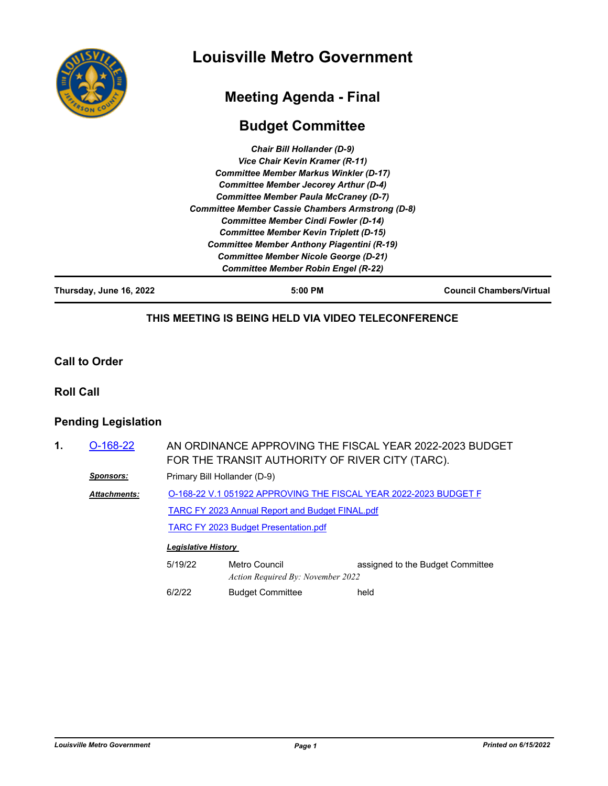

## **Louisville Metro Government**

# **Meeting Agenda - Final**

### **Budget Committee**

| Thursday, June 16, 2022 | $5:00$ PM                                               | <b>Council Chambers/Virtual</b> |
|-------------------------|---------------------------------------------------------|---------------------------------|
|                         | <b>Committee Member Robin Engel (R-22)</b>              |                                 |
|                         | <b>Committee Member Nicole George (D-21)</b>            |                                 |
|                         | <b>Committee Member Anthony Piagentini (R-19)</b>       |                                 |
|                         | <b>Committee Member Kevin Triplett (D-15)</b>           |                                 |
|                         | <b>Committee Member Cindi Fowler (D-14)</b>             |                                 |
|                         | <b>Committee Member Cassie Chambers Armstrong (D-8)</b> |                                 |
|                         | <b>Committee Member Paula McCraney (D-7)</b>            |                                 |
|                         | <b>Committee Member Jecorey Arthur (D-4)</b>            |                                 |
|                         | <b>Committee Member Markus Winkler (D-17)</b>           |                                 |
|                         | Vice Chair Kevin Kramer (R-11)                          |                                 |
|                         | <b>Chair Bill Hollander (D-9)</b>                       |                                 |

**THIS MEETING IS BEING HELD VIA VIDEO TELECONFERENCE**

#### **Call to Order**

**Roll Call**

#### **Pending Legislation**

| 1. | $O-168-22$          |                            | AN ORDINANCE APPROVING THE FISCAL YEAR 2022-2023 BUDGET<br>FOR THE TRANSIT AUTHORITY OF RIVER CITY (TARC).                 |                                  |  |
|----|---------------------|----------------------------|----------------------------------------------------------------------------------------------------------------------------|----------------------------------|--|
|    | <b>Sponsors:</b>    |                            | Primary Bill Hollander (D-9)                                                                                               |                                  |  |
|    | <b>Attachments:</b> |                            | O-168-22 V.1 051922 APPROVING THE FISCAL YEAR 2022-2023 BUDGET F<br><b>TARC FY 2023 Annual Report and Budget FINAL.pdf</b> |                                  |  |
|    |                     |                            |                                                                                                                            |                                  |  |
|    |                     |                            | <b>TARC FY 2023 Budget Presentation.pdf</b>                                                                                |                                  |  |
|    |                     | <b>Legislative History</b> |                                                                                                                            |                                  |  |
|    |                     | 5/19/22                    | Metro Council<br>Action Required By: November 2022                                                                         | assigned to the Budget Committee |  |
|    |                     | 6/2/22                     | <b>Budget Committee</b>                                                                                                    | held                             |  |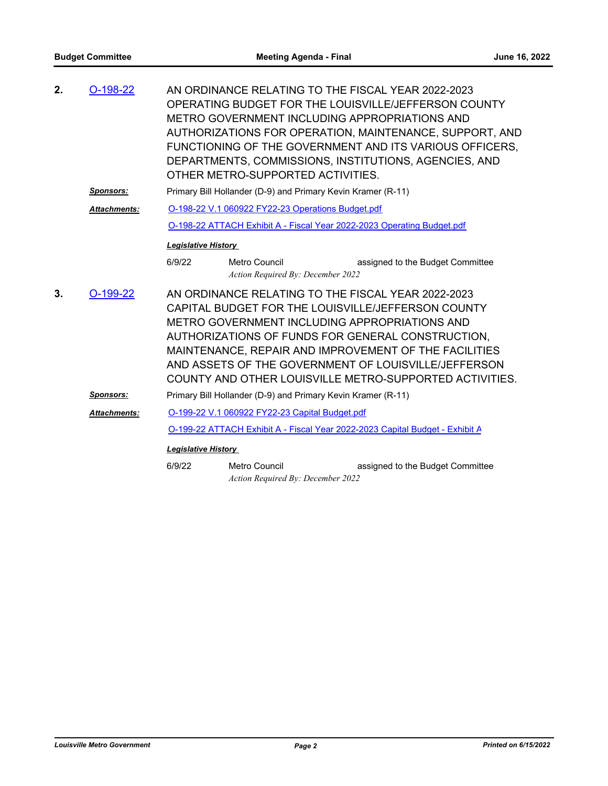| 2. | $O-198-22$          | AN ORDINANCE RELATING TO THE FISCAL YEAR 2022-2023<br>OPERATING BUDGET FOR THE LOUISVILLE/JEFFERSON COUNTY<br><b>METRO GOVERNMENT INCLUDING APPROPRIATIONS AND</b><br>AUTHORIZATIONS FOR OPERATION, MAINTENANCE, SUPPORT, AND<br>FUNCTIONING OF THE GOVERNMENT AND ITS VARIOUS OFFICERS,<br>DEPARTMENTS, COMMISSIONS, INSTITUTIONS, AGENCIES, AND<br>OTHER METRO-SUPPORTED ACTIVITIES.     |                                                    |                                                                              |  |
|----|---------------------|--------------------------------------------------------------------------------------------------------------------------------------------------------------------------------------------------------------------------------------------------------------------------------------------------------------------------------------------------------------------------------------------|----------------------------------------------------|------------------------------------------------------------------------------|--|
|    | <b>Sponsors:</b>    | Primary Bill Hollander (D-9) and Primary Kevin Kramer (R-11)                                                                                                                                                                                                                                                                                                                               |                                                    |                                                                              |  |
|    | <b>Attachments:</b> | O-198-22 V.1 060922 FY22-23 Operations Budget.pdf                                                                                                                                                                                                                                                                                                                                          |                                                    |                                                                              |  |
|    |                     | O-198-22 ATTACH Exhibit A - Fiscal Year 2022-2023 Operating Budget.pdf                                                                                                                                                                                                                                                                                                                     |                                                    |                                                                              |  |
|    |                     | <b>Legislative History</b>                                                                                                                                                                                                                                                                                                                                                                 |                                                    |                                                                              |  |
|    |                     | 6/9/22                                                                                                                                                                                                                                                                                                                                                                                     | Metro Council<br>Action Required By: December 2022 | assigned to the Budget Committee                                             |  |
| 3. | $O-199-22$          | AN ORDINANCE RELATING TO THE FISCAL YEAR 2022-2023<br>CAPITAL BUDGET FOR THE LOUISVILLE/JEFFERSON COUNTY<br>METRO GOVERNMENT INCLUDING APPROPRIATIONS AND<br>AUTHORIZATIONS OF FUNDS FOR GENERAL CONSTRUCTION,<br>MAINTENANCE, REPAIR AND IMPROVEMENT OF THE FACILITIES<br>AND ASSETS OF THE GOVERNMENT OF LOUISVILLE/JEFFERSON<br>COUNTY AND OTHER LOUISVILLE METRO-SUPPORTED ACTIVITIES. |                                                    |                                                                              |  |
|    | <b>Sponsors:</b>    | Primary Bill Hollander (D-9) and Primary Kevin Kramer (R-11)                                                                                                                                                                                                                                                                                                                               |                                                    |                                                                              |  |
|    | <b>Attachments:</b> | O-199-22 V.1 060922 FY22-23 Capital Budget.pdf                                                                                                                                                                                                                                                                                                                                             |                                                    |                                                                              |  |
|    |                     |                                                                                                                                                                                                                                                                                                                                                                                            |                                                    | O-199-22 ATTACH Exhibit A - Fiscal Year 2022-2023 Capital Budget - Exhibit A |  |
|    |                     | <b>Legislative History</b>                                                                                                                                                                                                                                                                                                                                                                 |                                                    |                                                                              |  |
|    |                     | 6/9/22                                                                                                                                                                                                                                                                                                                                                                                     | Metro Council<br>Action Required By: December 2022 | assigned to the Budget Committee                                             |  |